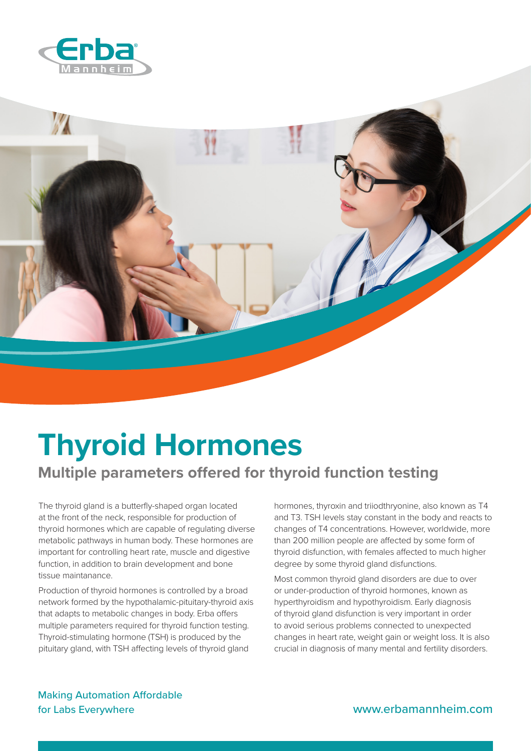



## **Thyroid Hormones**

## **Multiple parameters offered for thyroid function testing**

The thyroid gland is a butterfly-shaped organ located at the front of the neck, responsible for production of thyroid hormones which are capable of regulating diverse metabolic pathways in human body. These hormones are important for controlling heart rate, muscle and digestive function, in addition to brain development and bone tissue maintanance.

Production of thyroid hormones is controlled by a broad network formed by the hypothalamic-pituitary-thyroid axis that adapts to metabolic changes in body. Erba offers multiple parameters required for thyroid function testing. Thyroid-stimulating hormone (TSH) is produced by the pituitary gland, with TSH affecting levels of thyroid gland

hormones, thyroxin and triiodthryonine, also known as T4 and T3. TSH levels stay constant in the body and reacts to changes of T4 concentrations. However, worldwide, more than 200 million people are affected by some form of thyroid disfunction, with females affected to much higher degree by some thyroid gland disfunctions.

Most common thyroid gland disorders are due to over or under-production of thyroid hormones, known as hyperthyroidism and hypothyroidism. Early diagnosis of thyroid gland disfunction is very important in order to avoid serious problems connected to unexpected changes in heart rate, weight gain or weight loss. It is also crucial in diagnosis of many mental and fertility disorders.